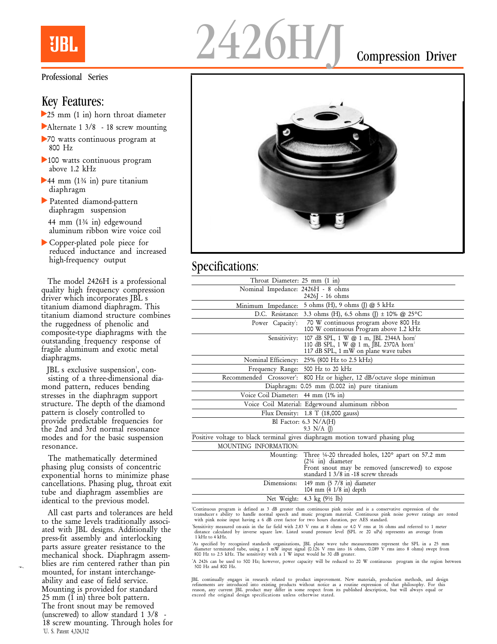

#### Professional Series

#### Key Features:

- 25 mm (1 in) horn throat diameter
- Alternate 1 3/8 18 screw mounting
- 70 watts continuous program at 800 Hz
- ▶ 100 watts continuous program above 1.2 kHz
- ▶ 44 mm (1¾ in) pure titanium diaphragm
- Patented diamond-pattern diaphragm suspension 44 mm (1¾ in) edgewound aluminum ribbon wire voice coil
- Copper-plated pole piece for reduced inductance and increased high-frequency output

The model 2426H is a professional quality high frequency compression driver which incorporates JBL s titanium diamond diaphragm. This titanium diamond structure combines the ruggedness of phenolic and composite-type diaphragms with the outstanding frequency response of fragile aluminum and exotic metal diaphragms.

JBL s exclusive suspension<sup>1</sup>, consisting of a three-dimensional diamond pattern, reduces bending stresses in the diaphragm support structure. The depth of the diamond pattern is closely controlled to provide predictable frequencies for the 2nd and 3rd normal resonance modes and for the basic suspension resonance.

The mathematically determined phasing plug consists of concentric exponential horns to minimize phase cancellations. Phasing plug, throat exit tube and diaphragm assemblies are identical to the previous model.

All cast parts and tolerances are held to the same levels traditionally associated with JBL designs. Additionally the press-fit assembly and interlocking parts assure greater resistance to the mechanical shock. Diaphragm assemblies are rim centered rather than pin mounted, for instant interchangeability and ease of field service. Mounting is provided for standard  $25 \text{ mm}$  (1 in) three bolt pattern. The front snout may be removed (unscrewed) to allow standard  $1 \frac{3}{8}$ 18 screw mounting. Through holes for <sup>1</sup>U. S. Patent 4,324,312



## Specifications:

| Throat Diameter: 25 mm (1 in)      |                                                                                                                                                                                |
|------------------------------------|--------------------------------------------------------------------------------------------------------------------------------------------------------------------------------|
| Nominal Impedance: 2426H - 8 ohms  |                                                                                                                                                                                |
|                                    | 2426J - 16 ohms                                                                                                                                                                |
|                                    | Minimum Impedance: 5 ohms (H), 9 ohms (J) @ 5 kHz                                                                                                                              |
|                                    | D.C. Resistance: 3.3 ohms (H), 6.5 ohms (J) $\pm$ 10% @ 25°C                                                                                                                   |
|                                    | Power Capacity: 70 W continuous program above 800 Hz<br>100 W continuous Program above 1.2 kHz                                                                                 |
| Sensitivity:                       | 107 dB SPL, 1 W @ 1 m, JBL 2344A horn <sup>2</sup><br>110 dB SPL, 1 W @ 1 m, JBL 2370A horn <sup>2</sup><br>117 dB SPL, 1 mW on plane wave tubes                               |
|                                    | Nominal Efficiency: 25% (800 Hz to 2.5 kHz)                                                                                                                                    |
| Frequency Range: 500 Hz to 20 kHz  |                                                                                                                                                                                |
|                                    | Recommended Crossover': 800 Hz or higher, 12 dB/octave slope minimun                                                                                                           |
|                                    | Diaphragm: 0.05 mm (0.002 in) pure titanium                                                                                                                                    |
| Voice Coil Diameter: 44 mm (1% in) |                                                                                                                                                                                |
|                                    | Voice Coil Material: Edgewound aluminum ribbon                                                                                                                                 |
|                                    | Flux Density: $1.8$ T (18,000 gauss)                                                                                                                                           |
|                                    | Bl Factor: 6.3 $N/A(H)$<br>9.3 $N/A$ (I)                                                                                                                                       |
|                                    | Positive voltage to black terminal gives diaphragm motion toward phasing plug                                                                                                  |
| MOUNTING INFORMATION:              |                                                                                                                                                                                |
|                                    | Mounting: Three 14-20 threaded holes, 120° apart on 57.2 mm<br>$(21/4 in) diameter$<br>Front snout may be removed (unscrewed) to expose<br>standard 1 3/8 in -18 screw threads |
| Dimensions:                        | 149 mm $(5 \ 7/8 \text{ in})$ diameter                                                                                                                                         |

Net Weight: 4.3 kg (9½ lb) Continuous program is defined as 3 dB greater than continuous pink noise and is a conservative expression of the<br>transducer s ability to handle normal speech and music program material. Continuous pink noise power ratings

104 mm (4 1/8 in) depth

'Sensitivity measured on-axis in the far field with 2.83 V rms at 8 ohms or 4.0 V rms at 16 ohms and referred to 1 meter

Sensitivity measured on-axis in the far field with 2.83 V rms at 8 ohms or 4.0 V rms at 16 ohms and referred to 1 meter<br>distance calculated by inverse square law. Listed sound pressure level (SPL re 20 uPa) represents an a

As specified by recognized standards organizations, JBL plane wave tube measurements represent the SPL in a 25 mm<br>diameter terminated tube, using a 1 mW input signal (0.126 V rms into 16 ohms, 0.089 V rms into 8 ohms) swep

<sup>4</sup>A 2426 can be used to 500 Hz; however, power capacity will be reduced to 20 W continuous program in the region between 500 Hz and 800 Hz.

JBL continually engages in research related to product improvement. New materials, production methods, and design refinements are introduced into existing products without notice as a routine expression of that philosophy. For this<br>reason, any current JBL product may differ in some respect from its published description, but will alwa exceed rhe original design specifications unless otherwise stated.